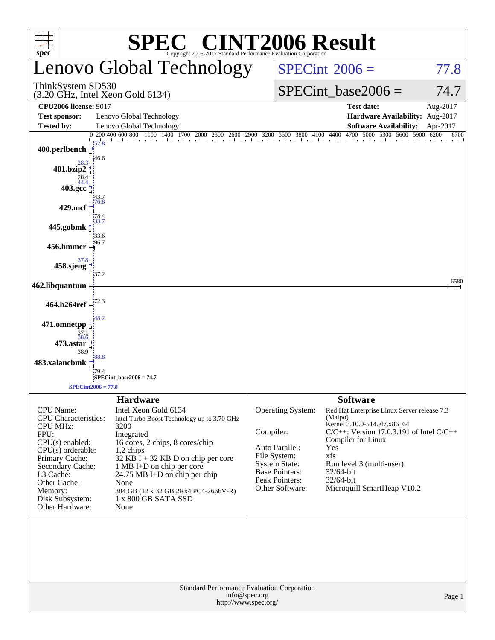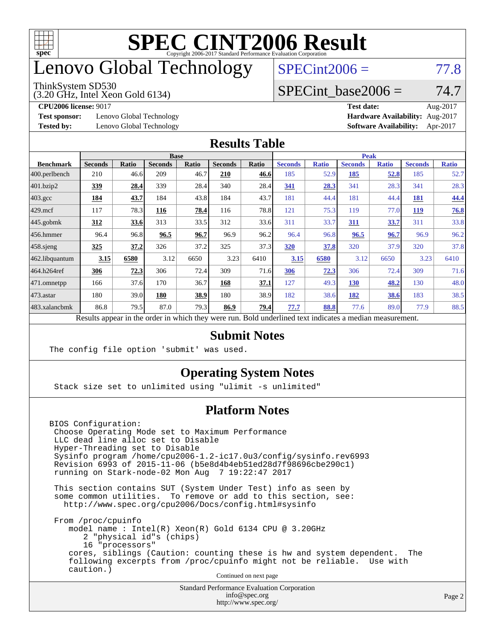

## enovo Global Technology

#### ThinkSystem SD530

(3.20 GHz, Intel Xeon Gold 6134)

 $SPECint2006 = 77.8$  $SPECint2006 = 77.8$ 

#### SPECint base2006 =  $74.7$

**[Test sponsor:](http://www.spec.org/auto/cpu2006/Docs/result-fields.html#Testsponsor)** Lenovo Global Technology **[Hardware Availability:](http://www.spec.org/auto/cpu2006/Docs/result-fields.html#HardwareAvailability)** Aug-2017

**[CPU2006 license:](http://www.spec.org/auto/cpu2006/Docs/result-fields.html#CPU2006license)** 9017 **[Test date:](http://www.spec.org/auto/cpu2006/Docs/result-fields.html#Testdate)** Aug-2017 **[Tested by:](http://www.spec.org/auto/cpu2006/Docs/result-fields.html#Testedby)** Lenovo Global Technology **[Software Availability:](http://www.spec.org/auto/cpu2006/Docs/result-fields.html#SoftwareAvailability)** Apr-2017

#### **[Results Table](http://www.spec.org/auto/cpu2006/Docs/result-fields.html#ResultsTable)**

|                                                                                                          | <b>Base</b>    |              |                |              |                | <b>Peak</b> |                |              |                |              |                |              |
|----------------------------------------------------------------------------------------------------------|----------------|--------------|----------------|--------------|----------------|-------------|----------------|--------------|----------------|--------------|----------------|--------------|
| <b>Benchmark</b>                                                                                         | <b>Seconds</b> | <b>Ratio</b> | <b>Seconds</b> | <b>Ratio</b> | <b>Seconds</b> | Ratio       | <b>Seconds</b> | <b>Ratio</b> | <b>Seconds</b> | <b>Ratio</b> | <b>Seconds</b> | <b>Ratio</b> |
| $ 400$ .perlbench                                                                                        | 210            | 46.6         | 209            | 46.7         | 210            | 46.6        | 185            | 52.9         | 185            | 52.8         | 185            | 52.7         |
| $401$ .bzip2                                                                                             | 339            | 28.4         | 339            | 28.4         | 340            | 28.4        | 341            | 28.3         | 341            | 28.3         | 341            | 28.3         |
| $403.\text{gcc}$                                                                                         | 184            | 43.7         | 184            | 43.8         | 184            | 43.7        | 181            | 44.4         | 181            | 44.4         | <b>181</b>     | 44.4         |
| $429$ mcf                                                                                                | 117            | 78.3         | 116            | 78.4         | 116            | 78.8        | 121            | 75.3         | 119            | 77.0         | <b>119</b>     | 76.8         |
| $445$ .gobmk                                                                                             | <u>312</u>     | 33.6         | 313            | 33.5         | 312            | 33.6        | 311            | 33.7         | 311            | 33.7         | 311            | 33.8         |
| $456.$ hmmer                                                                                             | 96.4           | 96.8         | 96.5           | 96.7         | 96.9           | 96.2        | 96.4           | 96.8         | 96.5           | 96.7         | 96.9           | 96.2         |
| $458$ .sjeng                                                                                             | <u>325</u>     | 37.2         | 326            | 37.2         | 325            | 37.3        | 320            | 37.8         | 320            | 37.9         | 320            | 37.8         |
| 462.libquantum                                                                                           | 3.15           | 6580         | 3.12           | 6650         | 3.23           | 6410        | 3.15           | 6580         | 3.12           | 6650         | 3.23           | 6410         |
| 464.h264ref                                                                                              | 306            | 72.3         | 306            | 72.4         | 309            | 71.6        | 306            | 72.3         | 306            | 72.4         | 309            | 71.6         |
| 471.omnetpp                                                                                              | 166            | 37.6         | 170            | 36.7         | 168            | 37.1        | 127            | 49.3         | <b>130</b>     | 48.2         | 130            | 48.0         |
| $473$ . astar                                                                                            | 180            | 39.0         | 180            | 38.9         | 180            | 38.9        | 182            | 38.6         | 182            | 38.6         | 183            | 38.5         |
| 483.xalancbmk                                                                                            | 86.8           | 79.5         | 87.0           | 79.3         | 86.9           | 79.4        | 77.7           | 88.8         | 77.6           | 89.0         | 77.9           | 88.5         |
| Results appear in the order in which they were run. Bold underlined text indicates a median measurement. |                |              |                |              |                |             |                |              |                |              |                |              |

#### **[Submit Notes](http://www.spec.org/auto/cpu2006/Docs/result-fields.html#SubmitNotes)**

The config file option 'submit' was used.

#### **[Operating System Notes](http://www.spec.org/auto/cpu2006/Docs/result-fields.html#OperatingSystemNotes)**

Stack size set to unlimited using "ulimit -s unlimited"

#### **[Platform Notes](http://www.spec.org/auto/cpu2006/Docs/result-fields.html#PlatformNotes)**

BIOS Configuration: Choose Operating Mode set to Maximum Performance LLC dead line alloc set to Disable Hyper-Threading set to Disable Sysinfo program /home/cpu2006-1.2-ic17.0u3/config/sysinfo.rev6993 Revision 6993 of 2015-11-06 (b5e8d4b4eb51ed28d7f98696cbe290c1) running on Stark-node-02 Mon Aug 7 19:22:47 2017

 This section contains SUT (System Under Test) info as seen by some common utilities. To remove or add to this section, see: <http://www.spec.org/cpu2006/Docs/config.html#sysinfo>

 From /proc/cpuinfo model name : Intel(R) Xeon(R) Gold 6134 CPU @ 3.20GHz 2 "physical id"s (chips) 16 "processors" cores, siblings (Caution: counting these is hw and system dependent. The following excerpts from /proc/cpuinfo might not be reliable. Use with caution.)

Continued on next page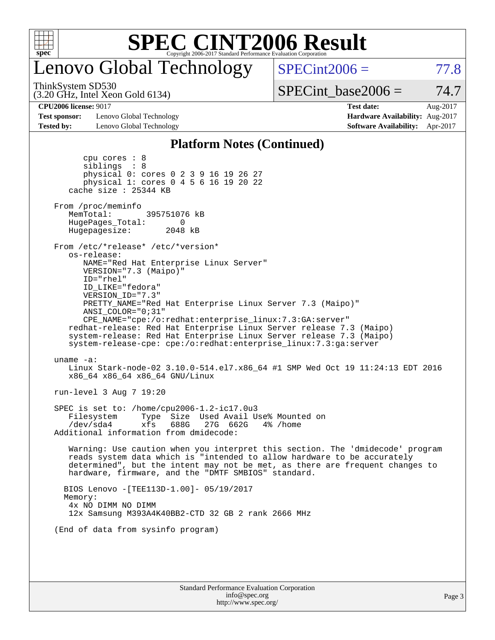

# Lenovo Global Technology

 $SPECint2006 = 77.8$  $SPECint2006 = 77.8$ 

(3.20 GHz, Intel Xeon Gold 6134) ThinkSystem SD530

 $SPECTnt\_base2006 = 74.7$ 

**[Test sponsor:](http://www.spec.org/auto/cpu2006/Docs/result-fields.html#Testsponsor)** Lenovo Global Technology **[Hardware Availability:](http://www.spec.org/auto/cpu2006/Docs/result-fields.html#HardwareAvailability)** Aug-2017 **[Tested by:](http://www.spec.org/auto/cpu2006/Docs/result-fields.html#Testedby)** Lenovo Global Technology **[Software Availability:](http://www.spec.org/auto/cpu2006/Docs/result-fields.html#SoftwareAvailability)** Apr-2017

**[CPU2006 license:](http://www.spec.org/auto/cpu2006/Docs/result-fields.html#CPU2006license)** 9017 **[Test date:](http://www.spec.org/auto/cpu2006/Docs/result-fields.html#Testdate)** Aug-2017

#### **[Platform Notes \(Continued\)](http://www.spec.org/auto/cpu2006/Docs/result-fields.html#PlatformNotes)**

| Memory:<br>4x NO DIMM NO DIMM<br>12x Samsung M393A4K40BB2-CTD 32 GB 2 rank 2666 MHz<br>(End of data from sysinfo program)                                                                                                                                                                                                                                                                                        |  |
|------------------------------------------------------------------------------------------------------------------------------------------------------------------------------------------------------------------------------------------------------------------------------------------------------------------------------------------------------------------------------------------------------------------|--|
|                                                                                                                                                                                                                                                                                                                                                                                                                  |  |
|                                                                                                                                                                                                                                                                                                                                                                                                                  |  |
| BIOS Lenovo - [TEE113D-1.00]- 05/19/2017                                                                                                                                                                                                                                                                                                                                                                         |  |
| Warning: Use caution when you interpret this section. The 'dmidecode' program<br>reads system data which is "intended to allow hardware to be accurately<br>determined", but the intent may not be met, as there are frequent changes to<br>hardware, firmware, and the "DMTF SMBIOS" standard.                                                                                                                  |  |
| SPEC is set to: /home/cpu2006-1.2-ic17.0u3<br>Type Size Used Avail Use% Mounted on<br>Filesystem<br>688G<br>/dev/sda4<br>xfs<br>27G 662G<br>4% /home<br>Additional information from dmidecode:                                                                                                                                                                                                                   |  |
| run-level 3 Aug 7 19:20                                                                                                                                                                                                                                                                                                                                                                                          |  |
| uname $-a$ :<br>Linux Stark-node-02 3.10.0-514.el7.x86_64 #1 SMP Wed Oct 19 11:24:13 EDT 2016<br>x86 64 x86 64 x86 64 GNU/Linux                                                                                                                                                                                                                                                                                  |  |
| ID="rhel"<br>ID LIKE="fedora"<br>VERSION_ID="7.3"<br>PRETTY_NAME="Red Hat Enterprise Linux Server 7.3 (Maipo)"<br>ANSI COLOR="0;31"<br>CPE_NAME="cpe:/o:redhat:enterprise_linux:7.3:GA:server"<br>redhat-release: Red Hat Enterprise Linux Server release 7.3 (Maipo)<br>system-release: Red Hat Enterprise Linux Server release 7.3 (Maipo)<br>system-release-cpe: cpe:/o:redhat:enterprise_linux:7.3:ga:server |  |
| From /etc/*release* /etc/*version*<br>os-release:<br>NAME="Red Hat Enterprise Linux Server"<br>VERSION="7.3 (Maipo)"                                                                                                                                                                                                                                                                                             |  |
| From /proc/meminfo<br>MemTotal:<br>395751076 kB<br>HugePages_Total:<br>0<br>Hugepagesize: 2048 kB                                                                                                                                                                                                                                                                                                                |  |
| cpu cores $: 8$<br>siblings : 8<br>physical 0: cores 0 2 3 9 16 19 26 27<br>physical 1: cores 0 4 5 6 16 19 20 22<br>cache size : 25344 KB                                                                                                                                                                                                                                                                       |  |
|                                                                                                                                                                                                                                                                                                                                                                                                                  |  |

<http://www.spec.org/>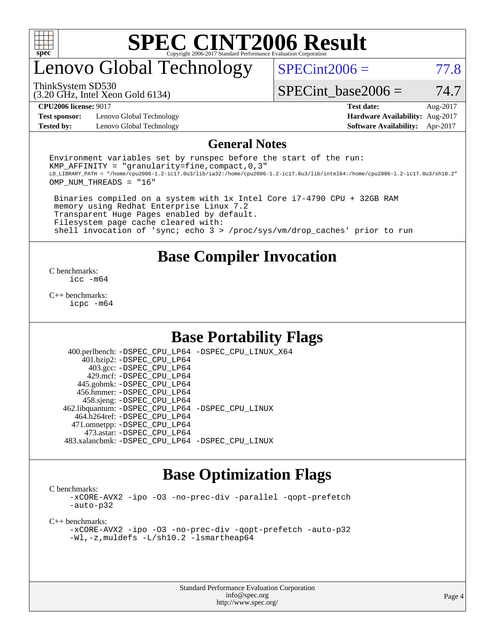

### enovo Global Technology

 $SPECint2006 = 77.8$  $SPECint2006 = 77.8$ 

(3.20 GHz, Intel Xeon Gold 6134) ThinkSystem SD530

SPECint base2006 =  $74.7$ 

**[Test sponsor:](http://www.spec.org/auto/cpu2006/Docs/result-fields.html#Testsponsor)** Lenovo Global Technology **[Hardware Availability:](http://www.spec.org/auto/cpu2006/Docs/result-fields.html#HardwareAvailability)** Aug-2017 **[Tested by:](http://www.spec.org/auto/cpu2006/Docs/result-fields.html#Testedby)** Lenovo Global Technology **[Software Availability:](http://www.spec.org/auto/cpu2006/Docs/result-fields.html#SoftwareAvailability)** Apr-2017

**[CPU2006 license:](http://www.spec.org/auto/cpu2006/Docs/result-fields.html#CPU2006license)** 9017 **[Test date:](http://www.spec.org/auto/cpu2006/Docs/result-fields.html#Testdate)** Aug-2017

#### **[General Notes](http://www.spec.org/auto/cpu2006/Docs/result-fields.html#GeneralNotes)**

Environment variables set by runspec before the start of the run: KMP AFFINITY = "granularity=fine, compact,  $0,3$ " LD\_LIBRARY\_PATH = "/home/cpu2006-1.2-ic17.0u3/lib/ia32:/home/cpu2006-1.2-ic17.0u3/lib/intel64:/home/cpu2006-1.2-ic17.0u3/sh10.2" OMP\_NUM\_THREADS = "16"

 Binaries compiled on a system with 1x Intel Core i7-4790 CPU + 32GB RAM memory using Redhat Enterprise Linux 7.2 Transparent Huge Pages enabled by default. Filesystem page cache cleared with: shell invocation of 'sync; echo 3 > /proc/sys/vm/drop\_caches' prior to run

#### **[Base Compiler Invocation](http://www.spec.org/auto/cpu2006/Docs/result-fields.html#BaseCompilerInvocation)**

[C benchmarks](http://www.spec.org/auto/cpu2006/Docs/result-fields.html#Cbenchmarks): [icc -m64](http://www.spec.org/cpu2006/results/res2017q4/cpu2006-20170918-49645.flags.html#user_CCbase_intel_icc_64bit_bda6cc9af1fdbb0edc3795bac97ada53)

[C++ benchmarks:](http://www.spec.org/auto/cpu2006/Docs/result-fields.html#CXXbenchmarks) [icpc -m64](http://www.spec.org/cpu2006/results/res2017q4/cpu2006-20170918-49645.flags.html#user_CXXbase_intel_icpc_64bit_fc66a5337ce925472a5c54ad6a0de310)

#### **[Base Portability Flags](http://www.spec.org/auto/cpu2006/Docs/result-fields.html#BasePortabilityFlags)**

 400.perlbench: [-DSPEC\\_CPU\\_LP64](http://www.spec.org/cpu2006/results/res2017q4/cpu2006-20170918-49645.flags.html#b400.perlbench_basePORTABILITY_DSPEC_CPU_LP64) [-DSPEC\\_CPU\\_LINUX\\_X64](http://www.spec.org/cpu2006/results/res2017q4/cpu2006-20170918-49645.flags.html#b400.perlbench_baseCPORTABILITY_DSPEC_CPU_LINUX_X64) 401.bzip2: [-DSPEC\\_CPU\\_LP64](http://www.spec.org/cpu2006/results/res2017q4/cpu2006-20170918-49645.flags.html#suite_basePORTABILITY401_bzip2_DSPEC_CPU_LP64) 403.gcc: [-DSPEC\\_CPU\\_LP64](http://www.spec.org/cpu2006/results/res2017q4/cpu2006-20170918-49645.flags.html#suite_basePORTABILITY403_gcc_DSPEC_CPU_LP64) 429.mcf: [-DSPEC\\_CPU\\_LP64](http://www.spec.org/cpu2006/results/res2017q4/cpu2006-20170918-49645.flags.html#suite_basePORTABILITY429_mcf_DSPEC_CPU_LP64) 445.gobmk: [-DSPEC\\_CPU\\_LP64](http://www.spec.org/cpu2006/results/res2017q4/cpu2006-20170918-49645.flags.html#suite_basePORTABILITY445_gobmk_DSPEC_CPU_LP64) 456.hmmer: [-DSPEC\\_CPU\\_LP64](http://www.spec.org/cpu2006/results/res2017q4/cpu2006-20170918-49645.flags.html#suite_basePORTABILITY456_hmmer_DSPEC_CPU_LP64) 458.sjeng: [-DSPEC\\_CPU\\_LP64](http://www.spec.org/cpu2006/results/res2017q4/cpu2006-20170918-49645.flags.html#suite_basePORTABILITY458_sjeng_DSPEC_CPU_LP64) 462.libquantum: [-DSPEC\\_CPU\\_LP64](http://www.spec.org/cpu2006/results/res2017q4/cpu2006-20170918-49645.flags.html#suite_basePORTABILITY462_libquantum_DSPEC_CPU_LP64) [-DSPEC\\_CPU\\_LINUX](http://www.spec.org/cpu2006/results/res2017q4/cpu2006-20170918-49645.flags.html#b462.libquantum_baseCPORTABILITY_DSPEC_CPU_LINUX) 464.h264ref: [-DSPEC\\_CPU\\_LP64](http://www.spec.org/cpu2006/results/res2017q4/cpu2006-20170918-49645.flags.html#suite_basePORTABILITY464_h264ref_DSPEC_CPU_LP64) 471.omnetpp: [-DSPEC\\_CPU\\_LP64](http://www.spec.org/cpu2006/results/res2017q4/cpu2006-20170918-49645.flags.html#suite_basePORTABILITY471_omnetpp_DSPEC_CPU_LP64) 473.astar: [-DSPEC\\_CPU\\_LP64](http://www.spec.org/cpu2006/results/res2017q4/cpu2006-20170918-49645.flags.html#suite_basePORTABILITY473_astar_DSPEC_CPU_LP64) 483.xalancbmk: [-DSPEC\\_CPU\\_LP64](http://www.spec.org/cpu2006/results/res2017q4/cpu2006-20170918-49645.flags.html#suite_basePORTABILITY483_xalancbmk_DSPEC_CPU_LP64) [-DSPEC\\_CPU\\_LINUX](http://www.spec.org/cpu2006/results/res2017q4/cpu2006-20170918-49645.flags.html#b483.xalancbmk_baseCXXPORTABILITY_DSPEC_CPU_LINUX)

### **[Base Optimization Flags](http://www.spec.org/auto/cpu2006/Docs/result-fields.html#BaseOptimizationFlags)**

[C benchmarks](http://www.spec.org/auto/cpu2006/Docs/result-fields.html#Cbenchmarks):

[-xCORE-AVX2](http://www.spec.org/cpu2006/results/res2017q4/cpu2006-20170918-49645.flags.html#user_CCbase_f-xCORE-AVX2) [-ipo](http://www.spec.org/cpu2006/results/res2017q4/cpu2006-20170918-49645.flags.html#user_CCbase_f-ipo) [-O3](http://www.spec.org/cpu2006/results/res2017q4/cpu2006-20170918-49645.flags.html#user_CCbase_f-O3) [-no-prec-div](http://www.spec.org/cpu2006/results/res2017q4/cpu2006-20170918-49645.flags.html#user_CCbase_f-no-prec-div) [-parallel](http://www.spec.org/cpu2006/results/res2017q4/cpu2006-20170918-49645.flags.html#user_CCbase_f-parallel) [-qopt-prefetch](http://www.spec.org/cpu2006/results/res2017q4/cpu2006-20170918-49645.flags.html#user_CCbase_f-qopt-prefetch) [-auto-p32](http://www.spec.org/cpu2006/results/res2017q4/cpu2006-20170918-49645.flags.html#user_CCbase_f-auto-p32)

[C++ benchmarks:](http://www.spec.org/auto/cpu2006/Docs/result-fields.html#CXXbenchmarks)

[-xCORE-AVX2](http://www.spec.org/cpu2006/results/res2017q4/cpu2006-20170918-49645.flags.html#user_CXXbase_f-xCORE-AVX2) [-ipo](http://www.spec.org/cpu2006/results/res2017q4/cpu2006-20170918-49645.flags.html#user_CXXbase_f-ipo) [-O3](http://www.spec.org/cpu2006/results/res2017q4/cpu2006-20170918-49645.flags.html#user_CXXbase_f-O3) [-no-prec-div](http://www.spec.org/cpu2006/results/res2017q4/cpu2006-20170918-49645.flags.html#user_CXXbase_f-no-prec-div) [-qopt-prefetch](http://www.spec.org/cpu2006/results/res2017q4/cpu2006-20170918-49645.flags.html#user_CXXbase_f-qopt-prefetch) [-auto-p32](http://www.spec.org/cpu2006/results/res2017q4/cpu2006-20170918-49645.flags.html#user_CXXbase_f-auto-p32) [-Wl,-z,muldefs](http://www.spec.org/cpu2006/results/res2017q4/cpu2006-20170918-49645.flags.html#user_CXXbase_link_force_multiple1_74079c344b956b9658436fd1b6dd3a8a) [-L/sh10.2 -lsmartheap64](http://www.spec.org/cpu2006/results/res2017q4/cpu2006-20170918-49645.flags.html#user_CXXbase_SmartHeap64_63911d860fc08c15fa1d5bf319b9d8d5)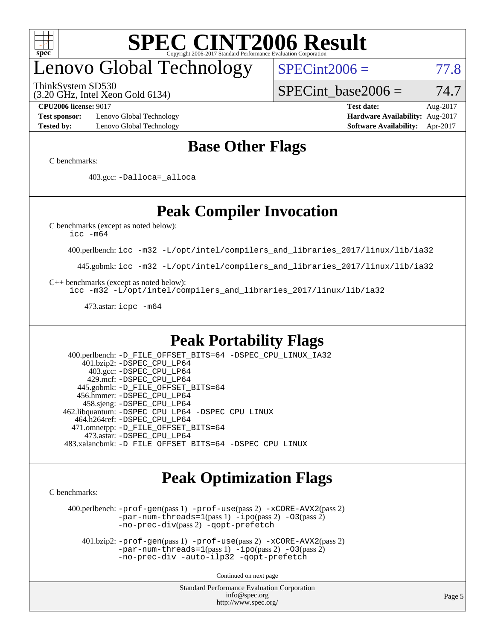

## enovo Global Technology

ThinkSystem SD530

 $SPECint2006 = 77.8$  $SPECint2006 = 77.8$ 

(3.20 GHz, Intel Xeon Gold 6134)

SPECint base2006 =  $74.7$ 

**[Test sponsor:](http://www.spec.org/auto/cpu2006/Docs/result-fields.html#Testsponsor)** Lenovo Global Technology **[Hardware Availability:](http://www.spec.org/auto/cpu2006/Docs/result-fields.html#HardwareAvailability)** Aug-2017 **[Tested by:](http://www.spec.org/auto/cpu2006/Docs/result-fields.html#Testedby)** Lenovo Global Technology **[Software Availability:](http://www.spec.org/auto/cpu2006/Docs/result-fields.html#SoftwareAvailability)** Apr-2017

**[CPU2006 license:](http://www.spec.org/auto/cpu2006/Docs/result-fields.html#CPU2006license)** 9017 **[Test date:](http://www.spec.org/auto/cpu2006/Docs/result-fields.html#Testdate)** Aug-2017

### **[Base Other Flags](http://www.spec.org/auto/cpu2006/Docs/result-fields.html#BaseOtherFlags)**

[C benchmarks](http://www.spec.org/auto/cpu2006/Docs/result-fields.html#Cbenchmarks):

403.gcc: [-Dalloca=\\_alloca](http://www.spec.org/cpu2006/results/res2017q4/cpu2006-20170918-49645.flags.html#b403.gcc_baseEXTRA_CFLAGS_Dalloca_be3056838c12de2578596ca5467af7f3)

### **[Peak Compiler Invocation](http://www.spec.org/auto/cpu2006/Docs/result-fields.html#PeakCompilerInvocation)**

[C benchmarks \(except as noted below\)](http://www.spec.org/auto/cpu2006/Docs/result-fields.html#Cbenchmarksexceptasnotedbelow):

[icc -m64](http://www.spec.org/cpu2006/results/res2017q4/cpu2006-20170918-49645.flags.html#user_CCpeak_intel_icc_64bit_bda6cc9af1fdbb0edc3795bac97ada53)

400.perlbench: [icc -m32 -L/opt/intel/compilers\\_and\\_libraries\\_2017/linux/lib/ia32](http://www.spec.org/cpu2006/results/res2017q4/cpu2006-20170918-49645.flags.html#user_peakCCLD400_perlbench_intel_icc_c29f3ff5a7ed067b11e4ec10a03f03ae)

445.gobmk: [icc -m32 -L/opt/intel/compilers\\_and\\_libraries\\_2017/linux/lib/ia32](http://www.spec.org/cpu2006/results/res2017q4/cpu2006-20170918-49645.flags.html#user_peakCCLD445_gobmk_intel_icc_c29f3ff5a7ed067b11e4ec10a03f03ae)

[C++ benchmarks \(except as noted below\):](http://www.spec.org/auto/cpu2006/Docs/result-fields.html#CXXbenchmarksexceptasnotedbelow)

[icc -m32 -L/opt/intel/compilers\\_and\\_libraries\\_2017/linux/lib/ia32](http://www.spec.org/cpu2006/results/res2017q4/cpu2006-20170918-49645.flags.html#user_CXXpeak_intel_icc_c29f3ff5a7ed067b11e4ec10a03f03ae)

473.astar: [icpc -m64](http://www.spec.org/cpu2006/results/res2017q4/cpu2006-20170918-49645.flags.html#user_peakCXXLD473_astar_intel_icpc_64bit_fc66a5337ce925472a5c54ad6a0de310)

### **[Peak Portability Flags](http://www.spec.org/auto/cpu2006/Docs/result-fields.html#PeakPortabilityFlags)**

 400.perlbench: [-D\\_FILE\\_OFFSET\\_BITS=64](http://www.spec.org/cpu2006/results/res2017q4/cpu2006-20170918-49645.flags.html#user_peakPORTABILITY400_perlbench_file_offset_bits_64_438cf9856305ebd76870a2c6dc2689ab) [-DSPEC\\_CPU\\_LINUX\\_IA32](http://www.spec.org/cpu2006/results/res2017q4/cpu2006-20170918-49645.flags.html#b400.perlbench_peakCPORTABILITY_DSPEC_CPU_LINUX_IA32) 401.bzip2: [-DSPEC\\_CPU\\_LP64](http://www.spec.org/cpu2006/results/res2017q4/cpu2006-20170918-49645.flags.html#suite_peakPORTABILITY401_bzip2_DSPEC_CPU_LP64) 403.gcc: [-DSPEC\\_CPU\\_LP64](http://www.spec.org/cpu2006/results/res2017q4/cpu2006-20170918-49645.flags.html#suite_peakPORTABILITY403_gcc_DSPEC_CPU_LP64) 429.mcf: [-DSPEC\\_CPU\\_LP64](http://www.spec.org/cpu2006/results/res2017q4/cpu2006-20170918-49645.flags.html#suite_peakPORTABILITY429_mcf_DSPEC_CPU_LP64) 445.gobmk: [-D\\_FILE\\_OFFSET\\_BITS=64](http://www.spec.org/cpu2006/results/res2017q4/cpu2006-20170918-49645.flags.html#user_peakPORTABILITY445_gobmk_file_offset_bits_64_438cf9856305ebd76870a2c6dc2689ab) 456.hmmer: [-DSPEC\\_CPU\\_LP64](http://www.spec.org/cpu2006/results/res2017q4/cpu2006-20170918-49645.flags.html#suite_peakPORTABILITY456_hmmer_DSPEC_CPU_LP64) 458.sjeng: [-DSPEC\\_CPU\\_LP64](http://www.spec.org/cpu2006/results/res2017q4/cpu2006-20170918-49645.flags.html#suite_peakPORTABILITY458_sjeng_DSPEC_CPU_LP64) 462.libquantum: [-DSPEC\\_CPU\\_LP64](http://www.spec.org/cpu2006/results/res2017q4/cpu2006-20170918-49645.flags.html#suite_peakPORTABILITY462_libquantum_DSPEC_CPU_LP64) [-DSPEC\\_CPU\\_LINUX](http://www.spec.org/cpu2006/results/res2017q4/cpu2006-20170918-49645.flags.html#b462.libquantum_peakCPORTABILITY_DSPEC_CPU_LINUX) 464.h264ref: [-DSPEC\\_CPU\\_LP64](http://www.spec.org/cpu2006/results/res2017q4/cpu2006-20170918-49645.flags.html#suite_peakPORTABILITY464_h264ref_DSPEC_CPU_LP64) 471.omnetpp: [-D\\_FILE\\_OFFSET\\_BITS=64](http://www.spec.org/cpu2006/results/res2017q4/cpu2006-20170918-49645.flags.html#user_peakPORTABILITY471_omnetpp_file_offset_bits_64_438cf9856305ebd76870a2c6dc2689ab) 473.astar: [-DSPEC\\_CPU\\_LP64](http://www.spec.org/cpu2006/results/res2017q4/cpu2006-20170918-49645.flags.html#suite_peakPORTABILITY473_astar_DSPEC_CPU_LP64) 483.xalancbmk: [-D\\_FILE\\_OFFSET\\_BITS=64](http://www.spec.org/cpu2006/results/res2017q4/cpu2006-20170918-49645.flags.html#user_peakPORTABILITY483_xalancbmk_file_offset_bits_64_438cf9856305ebd76870a2c6dc2689ab) [-DSPEC\\_CPU\\_LINUX](http://www.spec.org/cpu2006/results/res2017q4/cpu2006-20170918-49645.flags.html#b483.xalancbmk_peakCXXPORTABILITY_DSPEC_CPU_LINUX)

### **[Peak Optimization Flags](http://www.spec.org/auto/cpu2006/Docs/result-fields.html#PeakOptimizationFlags)**

[C benchmarks](http://www.spec.org/auto/cpu2006/Docs/result-fields.html#Cbenchmarks):

 400.perlbench: [-prof-gen](http://www.spec.org/cpu2006/results/res2017q4/cpu2006-20170918-49645.flags.html#user_peakPASS1_CFLAGSPASS1_LDCFLAGS400_perlbench_prof_gen_e43856698f6ca7b7e442dfd80e94a8fc)(pass 1) [-prof-use](http://www.spec.org/cpu2006/results/res2017q4/cpu2006-20170918-49645.flags.html#user_peakPASS2_CFLAGSPASS2_LDCFLAGS400_perlbench_prof_use_bccf7792157ff70d64e32fe3e1250b55)(pass 2) [-xCORE-AVX2](http://www.spec.org/cpu2006/results/res2017q4/cpu2006-20170918-49645.flags.html#user_peakPASS2_CFLAGSPASS2_LDCFLAGS400_perlbench_f-xCORE-AVX2)(pass 2) [-par-num-threads=1](http://www.spec.org/cpu2006/results/res2017q4/cpu2006-20170918-49645.flags.html#user_peakPASS1_CFLAGSPASS1_LDCFLAGS400_perlbench_par_num_threads_786a6ff141b4e9e90432e998842df6c2)(pass 1) [-ipo](http://www.spec.org/cpu2006/results/res2017q4/cpu2006-20170918-49645.flags.html#user_peakPASS2_CFLAGSPASS2_LDCFLAGS400_perlbench_f-ipo)(pass 2) [-O3](http://www.spec.org/cpu2006/results/res2017q4/cpu2006-20170918-49645.flags.html#user_peakPASS2_CFLAGSPASS2_LDCFLAGS400_perlbench_f-O3)(pass 2) [-no-prec-div](http://www.spec.org/cpu2006/results/res2017q4/cpu2006-20170918-49645.flags.html#user_peakPASS2_CFLAGSPASS2_LDCFLAGS400_perlbench_f-no-prec-div)(pass 2) [-qopt-prefetch](http://www.spec.org/cpu2006/results/res2017q4/cpu2006-20170918-49645.flags.html#user_peakCOPTIMIZE400_perlbench_f-qopt-prefetch)

 401.bzip2: [-prof-gen](http://www.spec.org/cpu2006/results/res2017q4/cpu2006-20170918-49645.flags.html#user_peakPASS1_CFLAGSPASS1_LDCFLAGS401_bzip2_prof_gen_e43856698f6ca7b7e442dfd80e94a8fc)(pass 1) [-prof-use](http://www.spec.org/cpu2006/results/res2017q4/cpu2006-20170918-49645.flags.html#user_peakPASS2_CFLAGSPASS2_LDCFLAGS401_bzip2_prof_use_bccf7792157ff70d64e32fe3e1250b55)(pass 2) [-xCORE-AVX2](http://www.spec.org/cpu2006/results/res2017q4/cpu2006-20170918-49645.flags.html#user_peakPASS2_CFLAGSPASS2_LDCFLAGS401_bzip2_f-xCORE-AVX2)(pass 2)  $-par-num-threads=1(pass 1) -ipo(pass 2) -O3(pass 2)$  $-par-num-threads=1(pass 1) -ipo(pass 2) -O3(pass 2)$  $-par-num-threads=1(pass 1) -ipo(pass 2) -O3(pass 2)$  $-par-num-threads=1(pass 1) -ipo(pass 2) -O3(pass 2)$  $-par-num-threads=1(pass 1) -ipo(pass 2) -O3(pass 2)$  $-par-num-threads=1(pass 1) -ipo(pass 2) -O3(pass 2)$ [-no-prec-div](http://www.spec.org/cpu2006/results/res2017q4/cpu2006-20170918-49645.flags.html#user_peakCOPTIMIZEPASS2_CFLAGSPASS2_LDCFLAGS401_bzip2_f-no-prec-div) [-auto-ilp32](http://www.spec.org/cpu2006/results/res2017q4/cpu2006-20170918-49645.flags.html#user_peakCOPTIMIZE401_bzip2_f-auto-ilp32) [-qopt-prefetch](http://www.spec.org/cpu2006/results/res2017q4/cpu2006-20170918-49645.flags.html#user_peakCOPTIMIZE401_bzip2_f-qopt-prefetch)

Continued on next page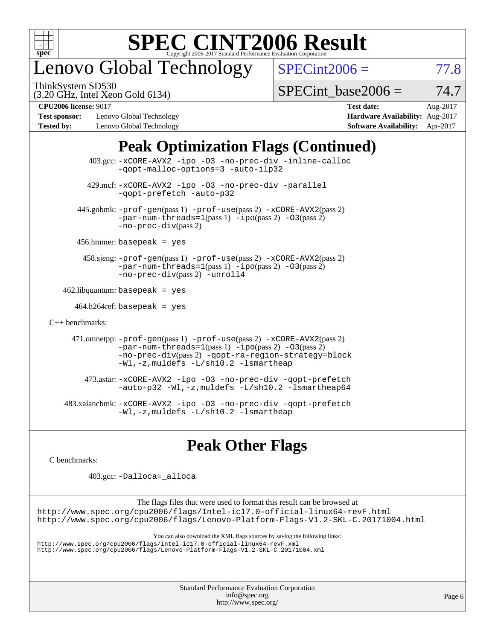

## enovo Global Technology

ThinkSystem SD530

 $SPECint2006 = 77.8$  $SPECint2006 = 77.8$ 

(3.20 GHz, Intel Xeon Gold 6134)

SPECint base2006 =  $74.7$ 

**[Test sponsor:](http://www.spec.org/auto/cpu2006/Docs/result-fields.html#Testsponsor)** Lenovo Global Technology **[Hardware Availability:](http://www.spec.org/auto/cpu2006/Docs/result-fields.html#HardwareAvailability)** Aug-2017 **[Tested by:](http://www.spec.org/auto/cpu2006/Docs/result-fields.html#Testedby)** Lenovo Global Technology **[Software Availability:](http://www.spec.org/auto/cpu2006/Docs/result-fields.html#SoftwareAvailability)** Apr-2017

**[CPU2006 license:](http://www.spec.org/auto/cpu2006/Docs/result-fields.html#CPU2006license)** 9017 **[Test date:](http://www.spec.org/auto/cpu2006/Docs/result-fields.html#Testdate)** Aug-2017

### **[Peak Optimization Flags \(Continued\)](http://www.spec.org/auto/cpu2006/Docs/result-fields.html#PeakOptimizationFlags)**

| $403.\text{sec}: -x \text{CORE-AVX2}$ -ipo -03 -no-prec-div -inline-calloc<br>-qopt-malloc-options=3 -auto-ilp32                                                                                                                          |  |
|-------------------------------------------------------------------------------------------------------------------------------------------------------------------------------------------------------------------------------------------|--|
| 429.mcf: -xCORE-AVX2 -ipo -03 -no-prec-div -parallel<br>-gopt-prefetch -auto-p32                                                                                                                                                          |  |
| 445.gobmk: -prof-gen(pass 1) -prof-use(pass 2) -xCORE-AVX2(pass 2)<br>$-par-num-threads=1(pass 1) -ipo(pass 2) -03(pass 2)$<br>$-no-prec-div(pass 2)$                                                                                     |  |
| $456.$ hmmer: basepeak = yes                                                                                                                                                                                                              |  |
| 458.sjeng: -prof-gen(pass 1) -prof-use(pass 2) -xCORE-AVX2(pass 2)<br>$-par-num-threads=1(pass 1) -ipo(pass 2) -03(pass 2)$<br>-no-prec-div(pass 2) -unroll4                                                                              |  |
| $462$ .libquantum: basepeak = yes                                                                                                                                                                                                         |  |
| $464.h264$ ref: basepeak = yes                                                                                                                                                                                                            |  |
| $C_{++}$ benchmarks:                                                                                                                                                                                                                      |  |
| 471.omnetpp: -prof-gen(pass 1) -prof-use(pass 2) -xCORE-AVX2(pass 2)<br>$-par-num-threads=1(pass 1) -ipo(pass 2) -03(pass 2)$<br>-no-prec-div(pass 2) -qopt-ra-region-strategy=block<br>$-Wl$ , -z, muldefs $-L/\nabla L$ . 2 -lsmartheap |  |
| 473.astar: -xCORE-AVX2 -ipo -03 -no-prec-div -qopt-prefetch<br>$-$ auto-p32 -Wl,-z, muldefs -L/sh10.2 -lsmartheap64                                                                                                                       |  |
| 483.xalancbmk: -xCORE-AVX2 -ipo -03 -no-prec-div -qopt-prefetch<br>$-Wl$ , $-z$ , muldefs $-L/\nabla L$ , 2 $-l$ smartheap                                                                                                                |  |

### **[Peak Other Flags](http://www.spec.org/auto/cpu2006/Docs/result-fields.html#PeakOtherFlags)**

[C benchmarks](http://www.spec.org/auto/cpu2006/Docs/result-fields.html#Cbenchmarks):

403.gcc: [-Dalloca=\\_alloca](http://www.spec.org/cpu2006/results/res2017q4/cpu2006-20170918-49645.flags.html#b403.gcc_peakEXTRA_CFLAGS_Dalloca_be3056838c12de2578596ca5467af7f3)

The flags files that were used to format this result can be browsed at <http://www.spec.org/cpu2006/flags/Intel-ic17.0-official-linux64-revF.html> <http://www.spec.org/cpu2006/flags/Lenovo-Platform-Flags-V1.2-SKL-C.20171004.html>

You can also download the XML flags sources by saving the following links:

<http://www.spec.org/cpu2006/flags/Intel-ic17.0-official-linux64-revF.xml> <http://www.spec.org/cpu2006/flags/Lenovo-Platform-Flags-V1.2-SKL-C.20171004.xml>